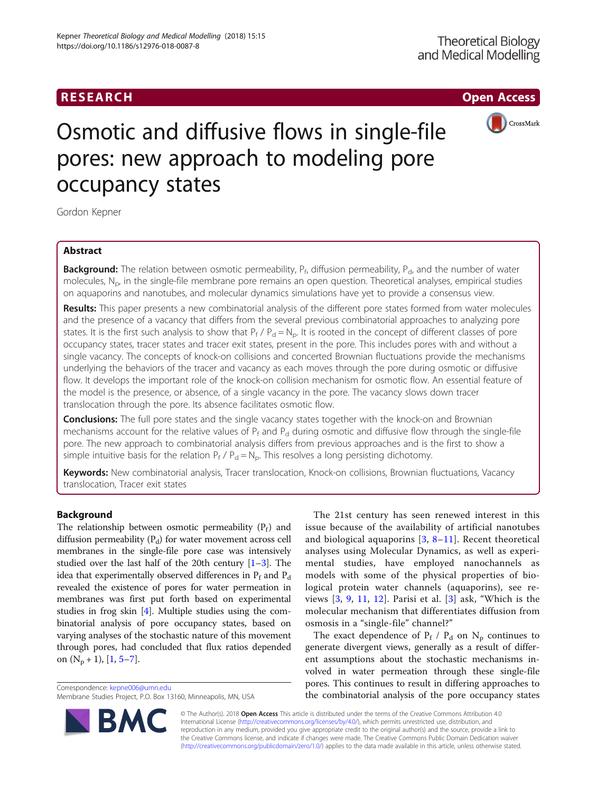# RESEARCH **RESEARCH CHOOSE ACCESS**



# Osmotic and diffusive flows in single-file pores: new approach to modeling pore occupancy states

Gordon Kepner

# Abstract

Background: The relation between osmotic permeability, P<sub>f</sub>, diffusion permeability, P<sub>d</sub>, and the number of water molecules,  $N_{\text{p}}$ , in the single-file membrane pore remains an open question. Theoretical analyses, empirical studies on aquaporins and nanotubes, and molecular dynamics simulations have yet to provide a consensus view.

Results: This paper presents a new combinatorial analysis of the different pore states formed from water molecules and the presence of a vacancy that differs from the several previous combinatorial approaches to analyzing pore states. It is the first such analysis to show that  $P_f$  /  $P_d = N_p$ . It is rooted in the concept of different classes of pore occupancy states, tracer states and tracer exit states, present in the pore. This includes pores with and without a single vacancy. The concepts of knock-on collisions and concerted Brownian fluctuations provide the mechanisms underlying the behaviors of the tracer and vacancy as each moves through the pore during osmotic or diffusive flow. It develops the important role of the knock-on collision mechanism for osmotic flow. An essential feature of the model is the presence, or absence, of a single vacancy in the pore. The vacancy slows down tracer translocation through the pore. Its absence facilitates osmotic flow.

**Conclusions:** The full pore states and the single vacancy states together with the knock-on and Brownian mechanisms account for the relative values of  $P_f$  and  $P_d$  during osmotic and diffusive flow through the single-file pore. The new approach to combinatorial analysis differs from previous approaches and is the first to show a simple intuitive basis for the relation  $P_f$  /  $P_d = N_p$ . This resolves a long persisting dichotomy.

Keywords: New combinatorial analysis, Tracer translocation, Knock-on collisions, Brownian fluctuations, Vacancy translocation, Tracer exit states

# Background

The relationship between osmotic permeability  $(P_f)$  and diffusion permeability  $(P_d)$  for water movement across cell membranes in the single-file pore case was intensively studied over the last half of the 20th century [\[1](#page-5-0)–[3\]](#page-5-0). The idea that experimentally observed differences in  $P_f$  and  $P_d$ revealed the existence of pores for water permeation in membranes was first put forth based on experimental studies in frog skin [[4](#page-5-0)]. Multiple studies using the combinatorial analysis of pore occupancy states, based on varying analyses of the stochastic nature of this movement through pores, had concluded that flux ratios depended on  $(N_p + 1)$ ,  $[1, 5-7]$  $[1, 5-7]$  $[1, 5-7]$  $[1, 5-7]$  $[1, 5-7]$  $[1, 5-7]$ .

BA



The exact dependence of  $P_f$  /  $P_d$  on  $N_p$  continues to generate divergent views, generally as a result of different assumptions about the stochastic mechanisms involved in water permeation through these single-file pores. This continues to result in differing approaches to the correspondence: [kepne006@umn.edu](mailto:kepne006@umn.edu)<br>Membrane Studies Project, P.O. Box 13160, Minneapolis, MN, USA **Combinatorial analysis of the pore occupancy states** 

> © The Author(s). 2018 Open Access This article is distributed under the terms of the Creative Commons Attribution 4.0 International License [\(http://creativecommons.org/licenses/by/4.0/](http://creativecommons.org/licenses/by/4.0/)), which permits unrestricted use, distribution, and reproduction in any medium, provided you give appropriate credit to the original author(s) and the source, provide a link to the Creative Commons license, and indicate if changes were made. The Creative Commons Public Domain Dedication waiver [\(http://creativecommons.org/publicdomain/zero/1.0/](http://creativecommons.org/publicdomain/zero/1.0/)) applies to the data made available in this article, unless otherwise stated.

Membrane Studies Project, P.O. Box 13160, Minneapolis, MN, USA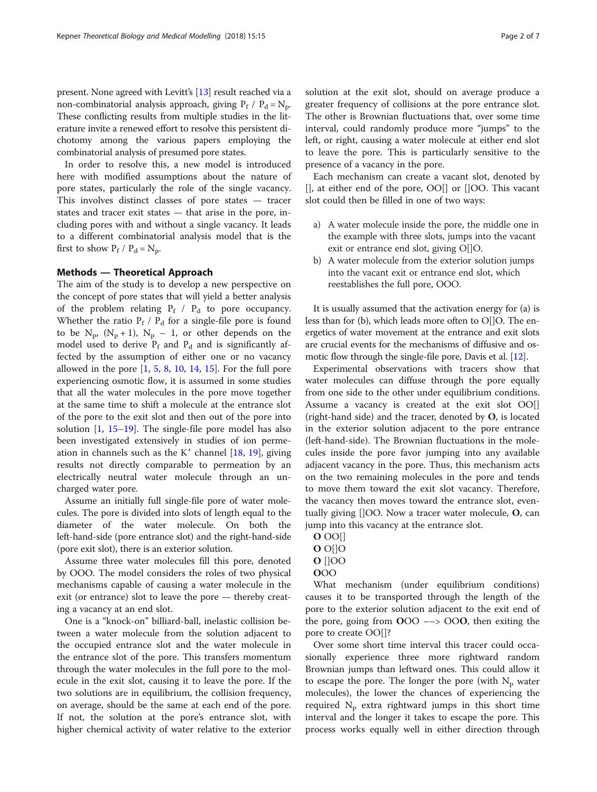present. None agreed with Levitt's [\[13\]](#page-5-0) result reached via a non-combinatorial analysis approach, giving  $P_f$  /  $P_d = N_p$ . These conflicting results from multiple studies in the literature invite a renewed effort to resolve this persistent dichotomy among the various papers employing the combinatorial analysis of presumed pore states.

In order to resolve this, a new model is introduced here with modified assumptions about the nature of pore states, particularly the role of the single vacancy. This involves distinct classes of pore states — tracer states and tracer exit states — that arise in the pore, including pores with and without a single vacancy. It leads to a different combinatorial analysis model that is the first to show  $P_f$  /  $P_d = N_p$ .

# Methods — Theoretical Approach

The aim of the study is to develop a new perspective on the concept of pore states that will yield a better analysis of the problem relating  $P_f$  /  $P_d$  to pore occupancy. Whether the ratio  $P_f$  /  $P_d$  for a single-file pore is found to be  $N_p$ ,  $(N_p + 1)$ ,  $N_p - 1$ , or other depends on the model used to derive  $P_f$  and  $P_d$  and is significantly affected by the assumption of either one or no vacancy allowed in the pore  $\left[1, 5, 8, 10, 14, 15\right]$  $\left[1, 5, 8, 10, 14, 15\right]$  $\left[1, 5, 8, 10, 14, 15\right]$  $\left[1, 5, 8, 10, 14, 15\right]$  $\left[1, 5, 8, 10, 14, 15\right]$  $\left[1, 5, 8, 10, 14, 15\right]$  $\left[1, 5, 8, 10, 14, 15\right]$  $\left[1, 5, 8, 10, 14, 15\right]$  $\left[1, 5, 8, 10, 14, 15\right]$  $\left[1, 5, 8, 10, 14, 15\right]$  $\left[1, 5, 8, 10, 14, 15\right]$ . For the full pore experiencing osmotic flow, it is assumed in some studies that all the water molecules in the pore move together at the same time to shift a molecule at the entrance slot of the pore to the exit slot and then out of the pore into solution [[1,](#page-5-0) [15](#page-6-0)–[19](#page-6-0)]. The single-file pore model has also been investigated extensively in studies of ion permeation in channels such as the  $K^+$  channel [[18](#page-6-0), [19\]](#page-6-0), giving results not directly comparable to permeation by an electrically neutral water molecule through an uncharged water pore.

Assume an initially full single-file pore of water molecules. The pore is divided into slots of length equal to the diameter of the water molecule. On both the left-hand-side (pore entrance slot) and the right-hand-side (pore exit slot), there is an exterior solution.

Assume three water molecules fill this pore, denoted by OOO. The model considers the roles of two physical mechanisms capable of causing a water molecule in the exit (or entrance) slot to leave the pore — thereby creating a vacancy at an end slot.

One is a "knock-on" billiard-ball, inelastic collision between a water molecule from the solution adjacent to the occupied entrance slot and the water molecule in the entrance slot of the pore. This transfers momentum through the water molecules in the full pore to the molecule in the exit slot, causing it to leave the pore. If the two solutions are in equilibrium, the collision frequency, on average, should be the same at each end of the pore. If not, the solution at the pore's entrance slot, with higher chemical activity of water relative to the exterior

solution at the exit slot, should on average produce a greater frequency of collisions at the pore entrance slot. The other is Brownian fluctuations that, over some time interval, could randomly produce more "jumps" to the left, or right, causing a water molecule at either end slot to leave the pore. This is particularly sensitive to the presence of a vacancy in the pore.

Each mechanism can create a vacant slot, denoted by [], at either end of the pore, OO[] or []OO. This vacant slot could then be filled in one of two ways:

- a) A water molecule inside the pore, the middle one in the example with three slots, jumps into the vacant exit or entrance end slot, giving O[]O.
- b) A water molecule from the exterior solution jumps into the vacant exit or entrance end slot, which reestablishes the full pore, OOO.

It is usually assumed that the activation energy for (a) is less than for (b), which leads more often to O[]O. The energetics of water movement at the entrance and exit slots are crucial events for the mechanisms of diffusive and osmotic flow through the single-file pore, Davis et al. [\[12\]](#page-5-0).

Experimental observations with tracers show that water molecules can diffuse through the pore equally from one side to the other under equilibrium conditions. Assume a vacancy is created at the exit slot OO[] (right-hand side) and the tracer, denoted by O, is located in the exterior solution adjacent to the pore entrance (left-hand-side). The Brownian fluctuations in the molecules inside the pore favor jumping into any available adjacent vacancy in the pore. Thus, this mechanism acts on the two remaining molecules in the pore and tends to move them toward the exit slot vacancy. Therefore, the vacancy then moves toward the entrance slot, eventually giving []OO. Now a tracer water molecule, O, can jump into this vacancy at the entrance slot.

- O OO[]
- O O[]O
- O []OO
- OOO

What mechanism (under equilibrium conditions) causes it to be transported through the length of the pore to the exterior solution adjacent to the exit end of the pore, going from  $000 \rightarrow$   $000$ , then exiting the pore to create OO[]?

Over some short time interval this tracer could occasionally experience three more rightward random Brownian jumps than leftward ones. This could allow it to escape the pore. The longer the pore (with  $N_p$  water molecules), the lower the chances of experiencing the required  $N_p$  extra rightward jumps in this short time interval and the longer it takes to escape the pore. This process works equally well in either direction through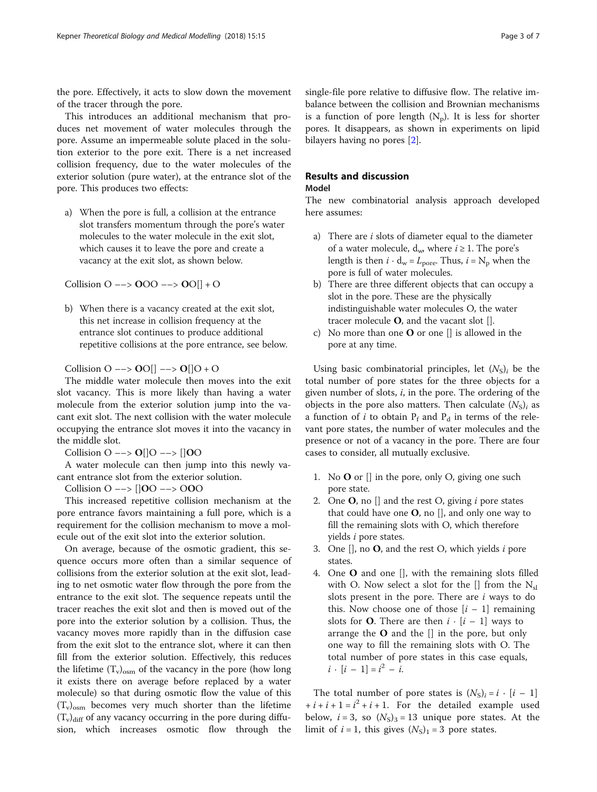the pore. Effectively, it acts to slow down the movement of the tracer through the pore.

This introduces an additional mechanism that produces net movement of water molecules through the pore. Assume an impermeable solute placed in the solution exterior to the pore exit. There is a net increased collision frequency, due to the water molecules of the exterior solution (pure water), at the entrance slot of the pore. This produces two effects:

a) When the pore is full, a collision at the entrance slot transfers momentum through the pore's water molecules to the water molecule in the exit slot, which causes it to leave the pore and create a vacancy at the exit slot, as shown below.

Collision  $O \rightarrow OOO \rightarrow OO[] + O$ 

b) When there is a vacancy created at the exit slot, this net increase in collision frequency at the entrance slot continues to produce additional repetitive collisions at the pore entrance, see below.

Collision  $Q \rightarrow O[$   $] \rightarrow$   $\rightarrow$   $O[$   $]$  $O + O$ 

The middle water molecule then moves into the exit slot vacancy. This is more likely than having a water molecule from the exterior solution jump into the vacant exit slot. The next collision with the water molecule occupying the entrance slot moves it into the vacancy in the middle slot.

Collision  $O \longrightarrow O[]O \longrightarrow []OO$ 

A water molecule can then jump into this newly vacant entrance slot from the exterior solution.

Collision  $Q \rightarrow |]$  $OO \rightarrow$   $OO$ 

This increased repetitive collision mechanism at the pore entrance favors maintaining a full pore, which is a requirement for the collision mechanism to move a molecule out of the exit slot into the exterior solution.

On average, because of the osmotic gradient, this sequence occurs more often than a similar sequence of collisions from the exterior solution at the exit slot, leading to net osmotic water flow through the pore from the entrance to the exit slot. The sequence repeats until the tracer reaches the exit slot and then is moved out of the pore into the exterior solution by a collision. Thus, the vacancy moves more rapidly than in the diffusion case from the exit slot to the entrance slot, where it can then fill from the exterior solution. Effectively, this reduces the lifetime  $(T_v)_{\text{osm}}$  of the vacancy in the pore (how long it exists there on average before replaced by a water molecule) so that during osmotic flow the value of this  $(T_v)_{\text{osm}}$  becomes very much shorter than the lifetime  $(T_v)_{diff}$  of any vacancy occurring in the pore during diffusion, which increases osmotic flow through the

single-file pore relative to diffusive flow. The relative imbalance between the collision and Brownian mechanisms is a function of pore length  $(N_p)$ . It is less for shorter pores. It disappears, as shown in experiments on lipid bilayers having no pores [\[2\]](#page-5-0).

# Results and discussion

# Model

The new combinatorial analysis approach developed here assumes:

- a) There are i slots of diameter equal to the diameter of a water molecule,  $d_w$ , where  $i \geq 1$ . The pore's length is then  $i \cdot d_w = L_{\text{pore}}$ . Thus,  $i = N_p$  when the pore is full of water molecules.
- b) There are three different objects that can occupy a slot in the pore. These are the physically indistinguishable water molecules O, the water tracer molecule O, and the vacant slot [].
- c) No more than one  $O$  or one  $\vert \vert$  is allowed in the pore at any time.

Using basic combinatorial principles, let  $(N<sub>S</sub>)<sub>i</sub>$  be the total number of pore states for the three objects for a given number of slots,  $i$ , in the pore. The ordering of the objects in the pore also matters. Then calculate  $(N<sub>S</sub>)<sub>i</sub>$  as a function of i to obtain  $P_f$  and  $P_d$  in terms of the relevant pore states, the number of water molecules and the presence or not of a vacancy in the pore. There are four cases to consider, all mutually exclusive.

- 1. No  $\bf{O}$  or  $\parallel$  in the pore, only O, giving one such pore state.
- 2. One  $\mathbf{O}$ , no  $\left[ \cdot \right]$  and the rest  $\bigcirc$ , giving *i* pore states that could have one  $O$ , no [], and only one way to fill the remaining slots with O, which therefore yields i pore states.
- 3. One  $\Box$ , no **O**, and the rest O, which yields *i* pore states.
- 4. One O and one [], with the remaining slots filled with O. Now select a slot for the  $[$  from the N<sub>sl</sub> slots present in the pore. There are  $i$  ways to do this. Now choose one of those  $[i - 1]$  remaining slots for **O**. There are then  $i \cdot [i-1]$  ways to arrange the  $O$  and the  $[]$  in the pore, but only one way to fill the remaining slots with O. The total number of pore states in this case equals,  $i \cdot [i - 1] = i^2 - i.$

The total number of pore states is  $(N<sub>S</sub>)<sub>i</sub> = i \cdot [i - 1]$  $+i + i + 1 = i^2 + i + 1$ . For the detailed example used below,  $i = 3$ , so  $(N<sub>S</sub>)<sub>3</sub> = 13$  unique pore states. At the limit of  $i = 1$ , this gives  $(N<sub>S</sub>)<sub>1</sub> = 3$  pore states.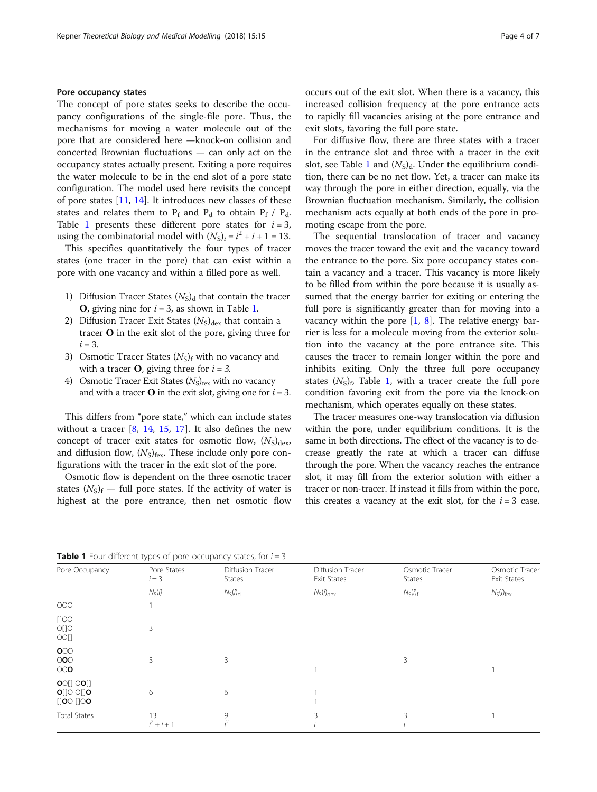## <span id="page-3-0"></span>Pore occupancy states

The concept of pore states seeks to describe the occupancy configurations of the single-file pore. Thus, the mechanisms for moving a water molecule out of the pore that are considered here —knock-on collision and concerted Brownian fluctuations — can only act on the occupancy states actually present. Exiting a pore requires the water molecule to be in the end slot of a pore state configuration. The model used here revisits the concept of pore states [[11](#page-5-0), [14\]](#page-5-0). It introduces new classes of these states and relates them to  $P_f$  and  $P_d$  to obtain  $P_f$  /  $P_d$ . Table 1 presents these different pore states for  $i = 3$ , using the combinatorial model with  $(N_S)_i = i^2 + i + 1 = 13$ .

This specifies quantitatively the four types of tracer states (one tracer in the pore) that can exist within a pore with one vacancy and within a filled pore as well.

- 1) Diffusion Tracer States  $(N<sub>S</sub>)<sub>d</sub>$  that contain the tracer **O**, giving nine for  $i = 3$ , as shown in Table 1.
- 2) Diffusion Tracer Exit States  $(N<sub>S</sub>)<sub>dex</sub>$  that contain a tracer  $O$  in the exit slot of the pore, giving three for  $i = 3$ .
- 3) Osmotic Tracer States  $(N<sub>S</sub>)<sub>f</sub>$  with no vacancy and with a tracer **O**, giving three for  $i = 3$ .
- 4) Osmotic Tracer Exit States  $(N<sub>S</sub>)<sub>flex</sub>$  with no vacancy and with a tracer **O** in the exit slot, giving one for  $i = 3$ .

This differs from "pore state," which can include states without a tracer  $[8, 14, 15, 17]$  $[8, 14, 15, 17]$  $[8, 14, 15, 17]$  $[8, 14, 15, 17]$  $[8, 14, 15, 17]$  $[8, 14, 15, 17]$  $[8, 14, 15, 17]$  $[8, 14, 15, 17]$ . It also defines the new concept of tracer exit states for osmotic flow,  $(N_S)_{\text{dex}}$ , and diffusion flow,  $(N_S)_{\text{flex}}$ . These include only pore configurations with the tracer in the exit slot of the pore.

Osmotic flow is dependent on the three osmotic tracer states  $(N<sub>S</sub>)<sub>f</sub>$  — full pore states. If the activity of water is highest at the pore entrance, then net osmotic flow occurs out of the exit slot. When there is a vacancy, this increased collision frequency at the pore entrance acts to rapidly fill vacancies arising at the pore entrance and exit slots, favoring the full pore state.

For diffusive flow, there are three states with a tracer in the entrance slot and three with a tracer in the exit slot, see Table 1 and  $(N<sub>S</sub>)<sub>d</sub>$ . Under the equilibrium condition, there can be no net flow. Yet, a tracer can make its way through the pore in either direction, equally, via the Brownian fluctuation mechanism. Similarly, the collision mechanism acts equally at both ends of the pore in promoting escape from the pore.

The sequential translocation of tracer and vacancy moves the tracer toward the exit and the vacancy toward the entrance to the pore. Six pore occupancy states contain a vacancy and a tracer. This vacancy is more likely to be filled from within the pore because it is usually assumed that the energy barrier for exiting or entering the full pore is significantly greater than for moving into a vacancy within the pore  $[1, 8]$  $[1, 8]$  $[1, 8]$  $[1, 8]$ . The relative energy barrier is less for a molecule moving from the exterior solution into the vacancy at the pore entrance site. This causes the tracer to remain longer within the pore and inhibits exiting. Only the three full pore occupancy states  $(N<sub>S</sub>)<sub>f</sub>$ , Table 1, with a tracer create the full pore condition favoring exit from the pore via the knock-on mechanism, which operates equally on these states.

The tracer measures one-way translocation via diffusion within the pore, under equilibrium conditions. It is the same in both directions. The effect of the vacancy is to decrease greatly the rate at which a tracer can diffuse through the pore. When the vacancy reaches the entrance slot, it may fill from the exterior solution with either a tracer or non-tracer. If instead it fills from within the pore, this creates a vacancy at the exit slot, for the  $i = 3$  case.

| Pore Occupancy                    | Pore States<br>$i = 3$<br>$N_{\rm S}(i)$ | Diffusion Tracer<br><b>States</b><br>$N_{\rm S}(i)_{\rm d}$ | Diffusion Tracer<br>Exit States<br>$N_{\rm S}(i)_{\rm dex}$ | Osmotic Tracer<br><b>States</b><br>$N_{\varsigma}(i)_{\varsigma}$ | Osmotic Tracer<br>Exit States<br>$N_{\rm S}(i)_{\rm flex}$ |
|-----------------------------------|------------------------------------------|-------------------------------------------------------------|-------------------------------------------------------------|-------------------------------------------------------------------|------------------------------------------------------------|
|                                   |                                          |                                                             |                                                             |                                                                   |                                                            |
| []00<br>O[]O<br>OO[]              | 3                                        |                                                             |                                                             |                                                                   |                                                            |
| 000<br>000<br>000                 | 3                                        | 3                                                           |                                                             | 3                                                                 |                                                            |
| O[] [O0]<br>O[]O O[]O<br>[]00[]00 | 6                                        | 6                                                           |                                                             |                                                                   |                                                            |
| <b>Total States</b>               | 13<br>$i^2 + i + 1$                      | 9<br>:2                                                     |                                                             | 3                                                                 |                                                            |

**Table 1** Four different types of pore occupancy states, for  $i = 3$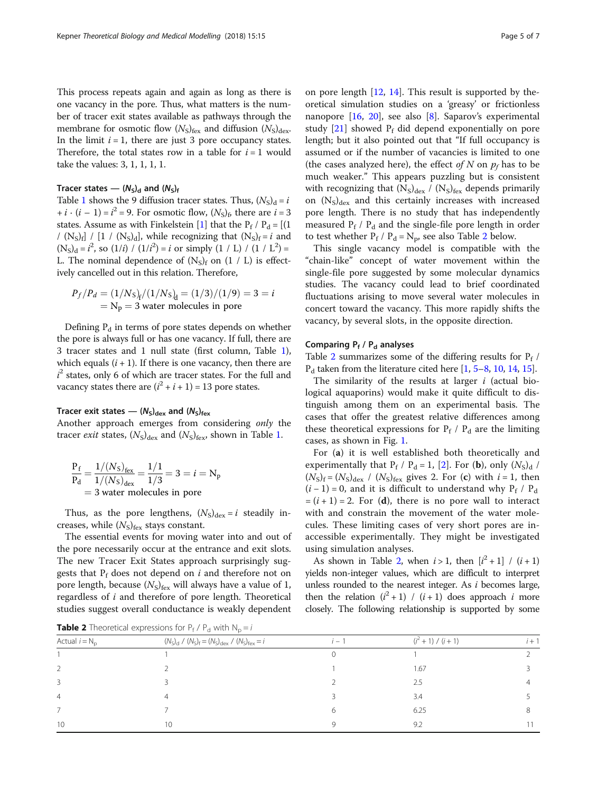This process repeats again and again as long as there is one vacancy in the pore. Thus, what matters is the number of tracer exit states available as pathways through the membrane for osmotic flow  $(N<sub>S</sub>)<sub>fer</sub>$  and diffusion  $(N<sub>S</sub>)<sub>der</sub>$ . In the limit  $i = 1$ , there are just 3 pore occupancy states. Therefore, the total states row in a table for  $i = 1$  would take the values: 3, 1, 1, 1, 1.

# Tracer states —  $(N_S)_{d}$  and  $(N_S)_{f}$

Table [1](#page-3-0) shows the 9 diffusion tracer states. Thus,  $(N<sub>S</sub>)<sub>d</sub> = i$  $+i \cdot (i-1) = i^2 = 9$ . For osmotic flow,  $(N_S)_p$  there are  $i = 3$ states. Assume as with Finkelstein [\[1](#page-5-0)] that the  $P_f$  /  $P_d = [(1$ /  $(N<sub>S</sub>)<sub>f</sub>$  / [1 /  $(N<sub>S</sub>)<sub>d</sub>$ ], while recognizing that  $(N<sub>S</sub>)<sub>f</sub> = i$  and  $(N_S)_d = i^2$ , so  $(1/i) / (1/i^2) = i$  or simply  $(1 / L) / (1 / L^2) =$ L. The nominal dependence of  $(N<sub>S</sub>)<sub>f</sub>$  on  $(1 / L)$  is effectively cancelled out in this relation. Therefore,

$$
P_f/P_d = (1/N_S)_{f}/(1/N_S)_{d} = (1/3)/(1/9) = 3 = i
$$
  
= N<sub>p</sub> = 3 water molecules in pore

Defining  $P_d$  in terms of pore states depends on whether the pore is always full or has one vacancy. If full, there are 3 tracer states and 1 null state (first column, Table [1](#page-3-0)), which equals  $(i + 1)$ . If there is one vacancy, then there are  $i<sup>2</sup>$  states, only 6 of which are tracer states. For the full and vacancy states there are  $(i^2 + i + 1) = 13$  pore states.

# Tracer exit states  $-(N<sub>S</sub>)<sub>dex</sub>$  and  $(N<sub>S</sub>)<sub>flex</sub>$

Another approach emerges from considering only the tracer *exit* states,  $(N_S)_{\text{dex}}$  and  $(N_S)_{\text{flex}}$ , shown in Table [1](#page-3-0).

$$
\frac{P_f}{P_d} = \frac{1/(N_S)_{\text{flex}}}{1/(N_S)_{\text{dex}}} = \frac{1/1}{1/3} = 3 = i = N_p
$$
  
= 3 water molecules in pore

Thus, as the pore lengthens,  $(N_S)_{\text{dex}} = i$  steadily increases, while  $(N<sub>S</sub>)<sub>lex</sub>$  stays constant.

The essential events for moving water into and out of the pore necessarily occur at the entrance and exit slots. The new Tracer Exit States approach surprisingly suggests that  $P_f$  does not depend on i and therefore not on pore length, because  $(N<sub>S</sub>)<sub>flex</sub>$  will always have a value of 1, regardless of  $i$  and therefore of pore length. Theoretical studies suggest overall conductance is weakly dependent

on pore length [[12,](#page-5-0) [14](#page-5-0)]. This result is supported by theoretical simulation studies on a 'greasy' or frictionless nanopore [\[16](#page-6-0), [20\]](#page-6-0), see also [\[8](#page-5-0)]. Saparov's experimental study  $[21]$  $[21]$  showed  $P_f$  did depend exponentially on pore length; but it also pointed out that "If full occupancy is assumed or if the number of vacancies is limited to one (the cases analyzed here), the effect of N on  $p_f$  has to be much weaker." This appears puzzling but is consistent with recognizing that  $(N_S)_{\text{dex}} / (N_S)_{\text{flex}}$  depends primarily on  $(N_S)_{\text{dex}}$  and this certainly increases with increased pore length. There is no study that has independently measured  $P_f$  /  $P_d$  and the single-file pore length in order to test whether  $P_f$  /  $P_d = N_p$ , see also Table 2 below.

This single vacancy model is compatible with the "chain-like" concept of water movement within the single-file pore suggested by some molecular dynamics studies. The vacancy could lead to brief coordinated fluctuations arising to move several water molecules in concert toward the vacancy. This more rapidly shifts the vacancy, by several slots, in the opposite direction.

## Comparing  $P_f$  /  $P_d$  analyses

Table 2 summarizes some of the differing results for  $P_f$  /  $P_d$  taken from the literature cited here  $\left[1, 5-8, 10, 14, 15\right]$  $\left[1, 5-8, 10, 14, 15\right]$  $\left[1, 5-8, 10, 14, 15\right]$  $\left[1, 5-8, 10, 14, 15\right]$  $\left[1, 5-8, 10, 14, 15\right]$  $\left[1, 5-8, 10, 14, 15\right]$  $\left[1, 5-8, 10, 14, 15\right]$  $\left[1, 5-8, 10, 14, 15\right]$  $\left[1, 5-8, 10, 14, 15\right]$  $\left[1, 5-8, 10, 14, 15\right]$  $\left[1, 5-8, 10, 14, 15\right]$ .

The similarity of the results at larger  $i$  (actual biological aquaporins) would make it quite difficult to distinguish among them on an experimental basis. The cases that offer the greatest relative differences among these theoretical expressions for  $P_f$  /  $P_d$  are the limiting cases, as shown in Fig. [1.](#page-5-0)

For (a) it is well established both theoretically and experimentally that  $P_f$  /  $P_d = 1$ , [\[2](#page-5-0)]. For (**b**), only  $(N_S)_d$  /  $(N<sub>S</sub>)<sub>f</sub> = (N<sub>S</sub>)<sub>dex</sub> / (N<sub>S</sub>)<sub>flex</sub> gives 2. For (c) with  $i = 1$ , then$  $(i - 1) = 0$ , and it is difficult to understand why P<sub>f</sub> / P<sub>d</sub>  $=(i + 1) = 2$ . For (d), there is no pore wall to interact with and constrain the movement of the water molecules. These limiting cases of very short pores are inaccessible experimentally. They might be investigated using simulation analyses.

As shown in Table 2, when  $i > 1$ , then  $[i^2 + 1] / (i + 1)$ yields non-integer values, which are difficult to interpret unless rounded to the nearest integer. As  $i$  becomes large, then the relation  $(i^2 + 1)$  /  $(i + 1)$  does approach *i* more closely. The following relationship is supported by some

|  | <b>Table 2</b> Theoretical expressions for $P_f$ / $P_d$ with $N_p = i$ |  |
|--|-------------------------------------------------------------------------|--|
|--|-------------------------------------------------------------------------|--|

| Actual $i = N_p$ | -<br>$(N_5)_{\rm d}$ / $(N_5)_{\rm f} = (N_5)_{\rm dex}$ / $(N_5)_{\rm flex} = i$ | $i = 1$ | $(i^2+1) / (i+1)$ | i + 1 |
|------------------|-----------------------------------------------------------------------------------|---------|-------------------|-------|
|                  |                                                                                   |         |                   |       |
|                  |                                                                                   |         | 1.67              |       |
|                  |                                                                                   |         | 2.5               |       |
| 4                |                                                                                   |         | 3.4               |       |
|                  |                                                                                   |         | 6.25              |       |
| 10               | 10                                                                                |         | 9.2               |       |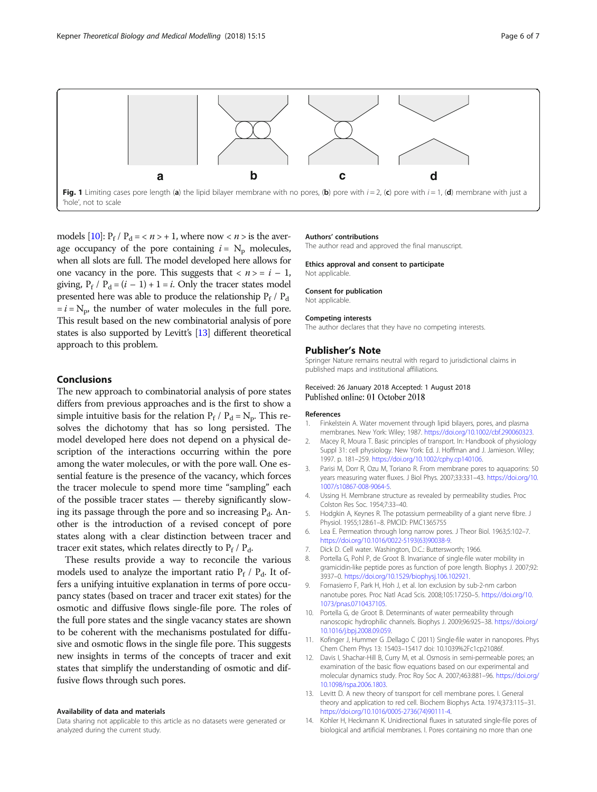<span id="page-5-0"></span>

models [10]:  $P_f$  /  $P_d$  = < *n* > + 1, where now < *n* > is the average occupancy of the pore containing  $i = N_p$  molecules, when all slots are full. The model developed here allows for one vacancy in the pore. This suggests that  $\langle n \rangle = i - 1$ , giving,  $P_f$  /  $P_d = (i - 1) + 1 = i$ . Only the tracer states model presented here was able to produce the relationship  $P_f$  /  $P_d$  $i = i = N_p$ , the number of water molecules in the full pore. This result based on the new combinatorial analysis of pore states is also supported by Levitt's [13] different theoretical approach to this problem.

## Conclusions

The new approach to combinatorial analysis of pore states differs from previous approaches and is the first to show a simple intuitive basis for the relation  $P_f$  /  $P_d = N_p$ . This resolves the dichotomy that has so long persisted. The model developed here does not depend on a physical description of the interactions occurring within the pore among the water molecules, or with the pore wall. One essential feature is the presence of the vacancy, which forces the tracer molecule to spend more time "sampling" each of the possible tracer states — thereby significantly slowing its passage through the pore and so increasing  $P_d$ . Another is the introduction of a revised concept of pore states along with a clear distinction between tracer and tracer exit states, which relates directly to  $P_f$  /  $P_d$ .

These results provide a way to reconcile the various models used to analyze the important ratio  $P_f$  /  $P_d$ . It offers a unifying intuitive explanation in terms of pore occupancy states (based on tracer and tracer exit states) for the osmotic and diffusive flows single-file pore. The roles of the full pore states and the single vacancy states are shown to be coherent with the mechanisms postulated for diffusive and osmotic flows in the single file pore. This suggests new insights in terms of the concepts of tracer and exit states that simplify the understanding of osmotic and diffusive flows through such pores.

#### Availability of data and materials

Data sharing not applicable to this article as no datasets were generated or analyzed during the current study.

#### Authors' contributions

The author read and approved the final manuscript.

#### Ethics approval and consent to participate Not applicable.

#### Consent for publication

Not applicable.

#### Competing interests

The author declares that they have no competing interests.

#### Publisher's Note

Springer Nature remains neutral with regard to jurisdictional claims in published maps and institutional affiliations.

## Received: 26 January 2018 Accepted: 1 August 2018 Published online: 01 October 2018

#### References

- 1. Finkelstein A. Water movement through lipid bilayers, pores, and plasma membranes. New York: Wiley; 1987. <https://doi.org/10.1002/cbf.290060323>.
- 2. Macey R, Moura T. Basic principles of transport. In: Handbook of physiology Suppl 31: cell physiology. New York: Ed. J. Hoffman and J. Jamieson. Wiley; 1997. p. 181–259. [https://doi.org/10.1002/cphy.cp140106.](https://doi.org/10.1002/cphy.cp140106)
- 3. Parisi M, Dorr R, Ozu M, Toriano R. From membrane pores to aquaporins: 50 years measuring water fluxes. J Biol Phys. 2007;33:331–43. [https://doi.org/10.](https://doi.org/10.1007/s10867-008-9064-5) [1007/s10867-008-9064-5](https://doi.org/10.1007/s10867-008-9064-5).
- 4. Ussing H. Membrane structure as revealed by permeability studies. Proc Colston Res Soc. 1954;7:33–40.
- 5. Hodgkin A, Keynes R. The potassium permeability of a giant nerve fibre. J Physiol. 1955;128:61–8. PMCID: PMC1365755
- 6. Lea E. Permeation through long narrow pores. J Theor Biol. 1963;5:102–7. [https://doi.org/10.1016/0022-5193\(63\)90038-9](https://doi.org/10.1016/0022-5193(63)90038-9).
- 7. Dick D. Cell water. Washington, D.C.: Buttersworth; 1966.
- 8. Portella G, Pohl P, de Groot B. Invariance of single-file water mobility in gramicidin-like peptide pores as function of pore length. Biophys J. 2007;92: 3937–0. [https://doi.org/10.1529/biophysj.106.102921.](https://doi.org/10.1529/biophysj.106.102921)
- 9. Fornasierro F, Park H, Hoh J, et al. Ion exclusion by sub-2-nm carbon nanotube pores. Proc Natl Acad Scis. 2008;105:17250–5. [https://doi.org/10.](https://doi.org/10.1073/pnas.0710437105) [1073/pnas.0710437105.](https://doi.org/10.1073/pnas.0710437105)
- 10. Portella G, de Groot B. Determinants of water permeability through nanoscopic hydrophilic channels. Biophys J. 2009;96:925–38. [https://doi.org/](https://doi.org/10.1016/j.bpj.2008.09.059) [10.1016/j.bpj.2008.09.059](https://doi.org/10.1016/j.bpj.2008.09.059).
- 11. Kofinger J, Hummer G .Dellago C (2011) Single-file water in nanopores. Phys Chem Chem Phys 13: 15403–15417 doi: 10.1039%2Fc1cp21086f.
- 12. Davis I, Shachar-Hill B, Curry M, et al. Osmosis in semi-permeable pores; an examination of the basic flow equations based on our experimental and molecular dynamics study. Proc Roy Soc A. 2007;463:881–96. [https://doi.org/](https://doi.org/10.1098/rspa.2006.1803) [10.1098/rspa.2006.1803](https://doi.org/10.1098/rspa.2006.1803).
- 13. Levitt D. A new theory of transport for cell membrane pores. I. General theory and application to red cell. Biochem Biophys Acta. 1974;373:115–31. [https://doi.org/10.1016/0005-2736\(74\)90111-4](https://doi.org/10.1016/0005-2736(74)90111-4).
- 14. Kohler H, Heckmann K. Unidirectional fluxes in saturated single-file pores of biological and artificial membranes. I. Pores containing no more than one